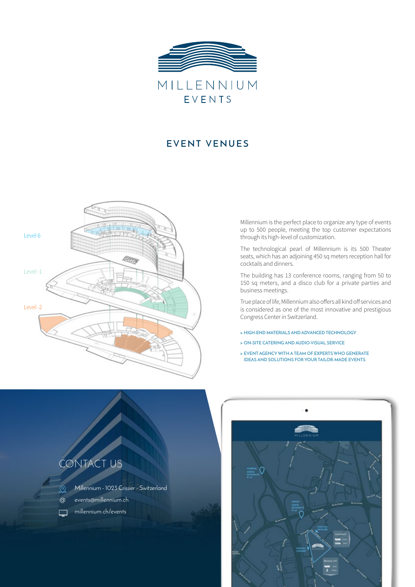

## **EVENT VENUES**



Millennium is the perfect place to organize any type of events up to 500 people, meeting the top customer expectations through its high-level of customization.

The technological pearl of Millennium is its 500 Theater seats, which has an adjoining 450 sq meters reception hall for cocktails and dinners.

The building has 13 conference rooms, ranging from 50 to 150 sq meters, and a disco club for a private parties and business meetings.

True place of life, Millennium also offers all kind off services and is considered as one of the most innovative and prestigious Congress Center in Switzerland.

- **> HIGH-END MATERIALS AND ADVANCED TECHNOLOGY**
- **> ON-SITE CATERING AND AUDIO-VISUAL SERVICE**
- **> EVENT AGENCY WITH A TEAM OF EXPERTS WHO GENERATE IDEAS AND SOLUTIONS FOR YOUR TAILOR-MADE EVENTS**



 $\Omega$ 

 $\Box$